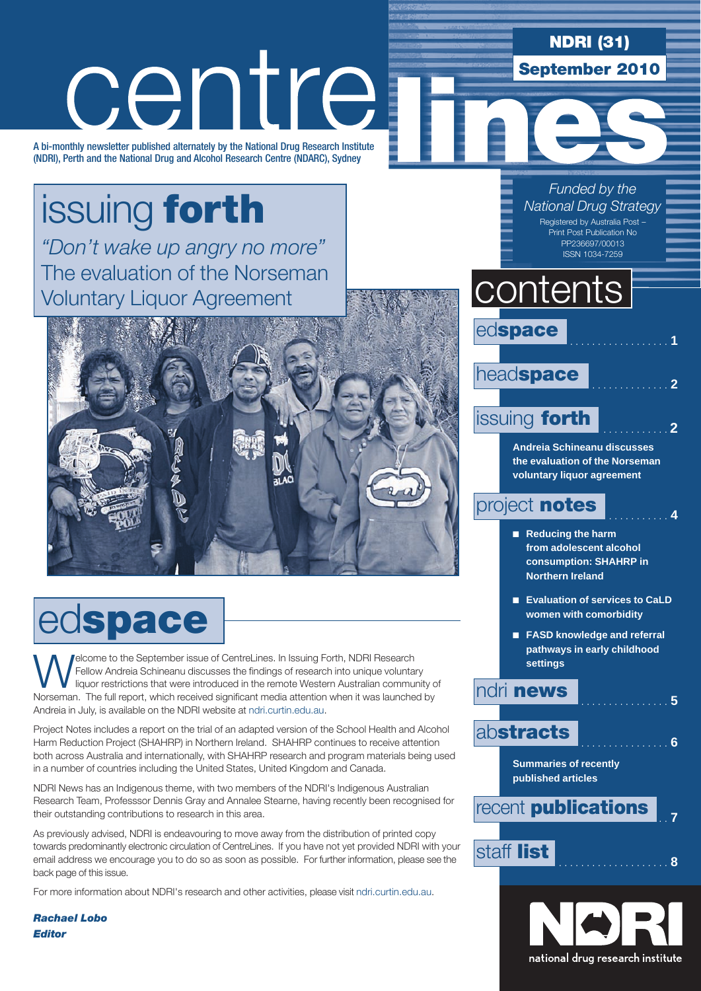# centre

A bi-monthly newsletter published alternately by the National Drug Research Institute (NDRI), Perth and the National Drug and Alcohol Research Centre (NDARC), Sydney

# issuing forth

*"Don't wake up angry no more"* The evaluation of the Norseman Voluntary Liquor Agreement



# edspace

**WELCOME THE SEPTEMBER IN ISSUING THE SEPTEMBER IN ISSUING THE SEPTEMBER OF THE SEPTEMBER OF THE SEPTEMBER OF THE INCOLUTION ISSUE OF THE INCOLUTION OF THE SEPTEMBER OF THE RESEARCH IN ISSUE OF THE SEPTEMBER OF THE INCOLUT** Fellow Andreia Schineanu discusses the findings of research into unique voluntary Norseman. The full report, which received significant media attention when it was launched by Andreia in July, is available on the NDRI website at ndri.curtin.edu.au.

Project Notes includes a report on the trial of an adapted version of the School Health and Alcohol Harm Reduction Project (SHAHRP) in Northern Ireland. SHAHRP continues to receive attention both across Australia and internationally, with SHAHRP research and program materials being used in a number of countries including the United States, United Kingdom and Canada.

NDRI News has an Indigenous theme, with two members of the NDRI's Indigenous Australian Research Team, Professsor Dennis Gray and Annalee Stearne, having recently been recognised for their outstanding contributions to research in this area.

As previously advised, NDRI is endeavouring to move away from the distribution of printed copy towards predominantly electronic circulation of CentreLines. If you have not yet provided NDRI with your email address we encourage you to do so as soon as possible. For further information, please see the back page of this issue.

For more information about NDRI's research and other activities, please visit ndri.curtin.edu.au.

*Rachael Lobo Editor*



NDRI (31)

September 2010

### **pathways in early childhood settings**

### ndri news . . **<sup>5</sup>**

### abstracts

**Summaries of recently published articles**

recent **publications** staff list . . **<sup>8</sup>**

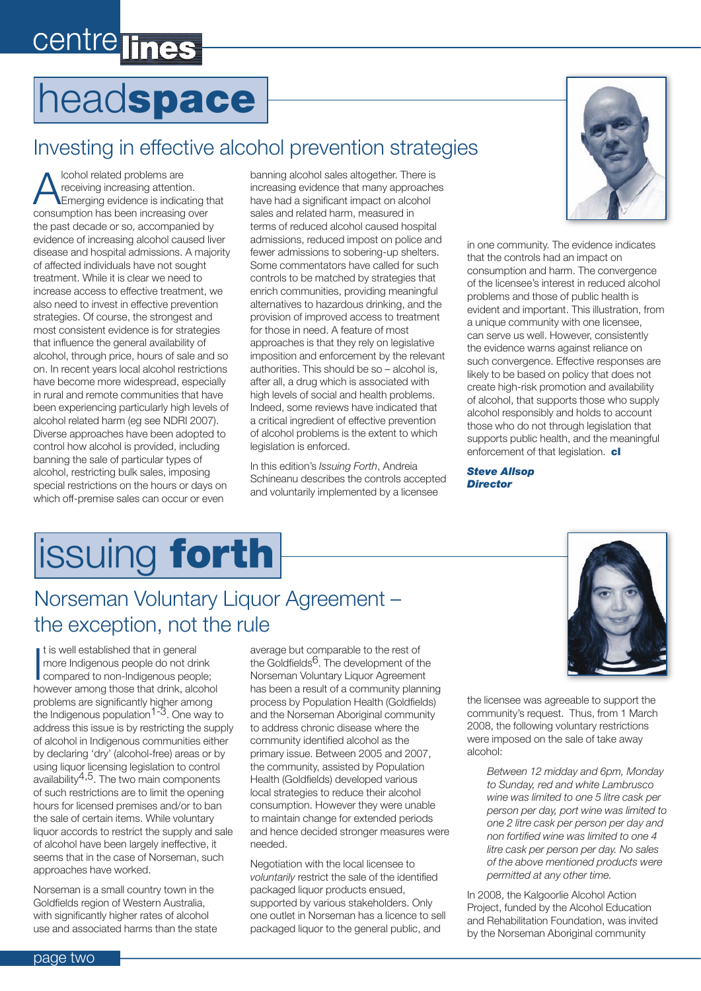# centre lines

# headspace

### Investing in effective alcohol prevention strategies

Icohol related problems are receiving increasing attention. Emerging evidence is indicating that consumption has been increasing over the past decade or so, accompanied by evidence of increasing alcohol caused liver disease and hospital admissions. A majority of affected individuals have not sought treatment. While it is clear we need to increase access to effective treatment, we also need to invest in effective prevention strategies. Of course, the strongest and most consistent evidence is for strategies that influence the general availability of alcohol, through price, hours of sale and so on. In recent years local alcohol restrictions have become more widespread, especially in rural and remote communities that have been experiencing particularly high levels of alcohol related harm (eg see NDRI 2007). Diverse approaches have been adopted to control how alcohol is provided, including banning the sale of particular types of alcohol, restricting bulk sales, imposing special restrictions on the hours or days on which off-premise sales can occur or even

banning alcohol sales altogether. There is increasing evidence that many approaches have had a significant impact on alcohol sales and related harm, measured in terms of reduced alcohol caused hospital admissions, reduced impost on police and fewer admissions to sobering-up shelters. Some commentators have called for such controls to be matched by strategies that enrich communities, providing meaningful alternatives to hazardous drinking, and the provision of improved access to treatment for those in need. A feature of most approaches is that they rely on legislative imposition and enforcement by the relevant authorities. This should be so – alcohol is, after all, a drug which is associated with high levels of social and health problems. Indeed, some reviews have indicated that a critical ingredient of effective prevention of alcohol problems is the extent to which legislation is enforced.

In this edition's *Issuing Forth*, Andreia Schineanu describes the controls accepted and voluntarily implemented by a licensee



in one community. The evidence indicates that the controls had an impact on consumption and harm. The convergence of the licensee's interest in reduced alcohol problems and those of public health is evident and important. This illustration, from a unique community with one licensee, can serve us well. However, consistently the evidence warns against reliance on such convergence. Effective responses are likely to be based on policy that does not create high-risk promotion and availability of alcohol, that supports those who supply alcohol responsibly and holds to account those who do not through legislation that supports public health, and the meaningful enforcement of that legislation. cl

*Steve Allsop Director*

# issuing forth

### Norseman Voluntary Liquor Agreement – the exception, not the rule

It is well established that in general<br>
more Indigenous people do not drink<br>
compared to non-Indigenous people;<br>
compared to non-Indigenous people; t is well established that in general more Indigenous people do not drink however among those that drink, alcohol problems are significantly higher among the Indigenous population<sup>1-3</sup>. One way to address this issue is by restricting the supply of alcohol in Indigenous communities either by declaring 'dry' (alcohol-free) areas or by using liquor licensing legislation to control availability $4,5$ . The two main components of such restrictions are to limit the opening hours for licensed premises and/or to ban the sale of certain items. While voluntary liquor accords to restrict the supply and sale of alcohol have been largely ineffective, it seems that in the case of Norseman, such approaches have worked.

Norseman is a small country town in the Goldfields region of Western Australia, with significantly higher rates of alcohol use and associated harms than the state average but comparable to the rest of the Goldfields<sup>6</sup>. The development of the Norseman Voluntary Liquor Agreement has been a result of a community planning process by Population Health (Goldfields) and the Norseman Aboriginal community to address chronic disease where the community identified alcohol as the primary issue. Between 2005 and 2007, the community, assisted by Population Health (Goldfields) developed various local strategies to reduce their alcohol consumption. However they were unable to maintain change for extended periods and hence decided stronger measures were needed.

Negotiation with the local licensee to *voluntarily* restrict the sale of the identified packaged liquor products ensued, supported by various stakeholders. Only one outlet in Norseman has a licence to sell packaged liquor to the general public, and



the licensee was agreeable to support the community's request. Thus, from 1 March 2008, the following voluntary restrictions were imposed on the sale of take away alcohol:

*Between 12 midday and 6pm, Monday to Sunday, red and white Lambrusco wine was limited to one 5 litre cask per person per day, port wine was limited to one 2 litre cask per person per day and non fortified wine was limited to one 4 litre cask per person per day. No sales of the above mentioned products were permitted at any other time.*

In 2008, the Kalgoorlie Alcohol Action Project, funded by the Alcohol Education and Rehabilitation Foundation, was invited by the Norseman Aboriginal community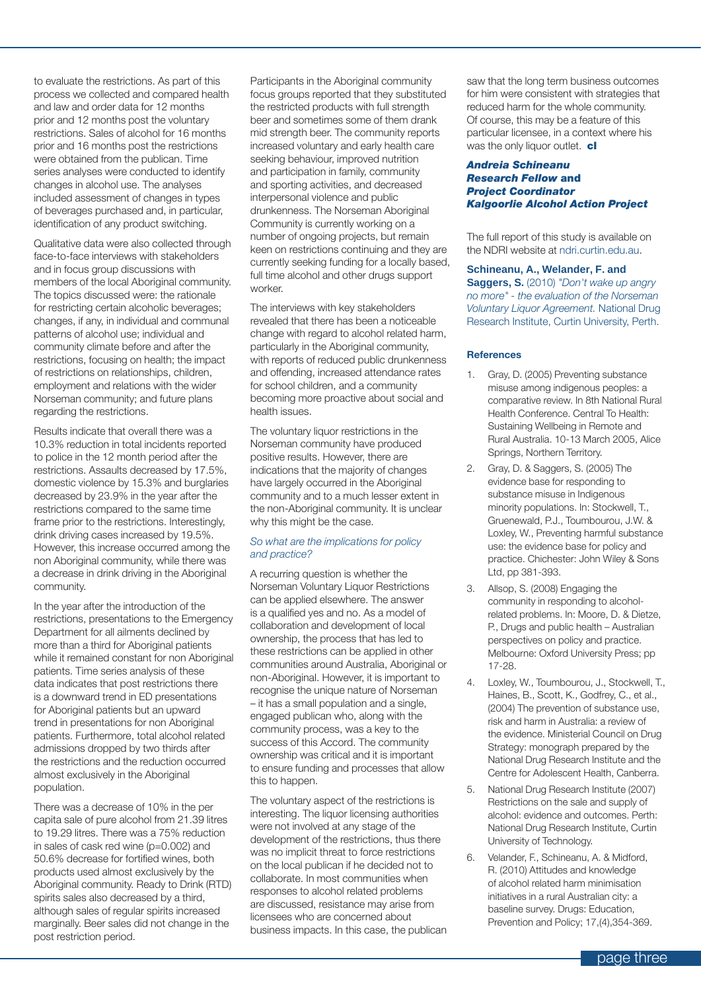to evaluate the restrictions. As part of this process we collected and compared health and law and order data for 12 months prior and 12 months post the voluntary restrictions. Sales of alcohol for 16 months prior and 16 months post the restrictions were obtained from the publican. Time series analyses were conducted to identify changes in alcohol use. The analyses included assessment of changes in types of beverages purchased and, in particular, identification of any product switching.

Qualitative data were also collected through face-to-face interviews with stakeholders and in focus group discussions with members of the local Aboriginal community. The topics discussed were: the rationale for restricting certain alcoholic beverages; changes, if any, in individual and communal patterns of alcohol use; individual and community climate before and after the restrictions, focusing on health; the impact of restrictions on relationships, children, employment and relations with the wider Norseman community; and future plans regarding the restrictions.

Results indicate that overall there was a 10.3% reduction in total incidents reported to police in the 12 month period after the restrictions. Assaults decreased by 17.5%, domestic violence by 15.3% and burglaries decreased by 23.9% in the year after the restrictions compared to the same time frame prior to the restrictions. Interestingly, drink driving cases increased by 19.5%. However, this increase occurred among the non Aboriginal community, while there was a decrease in drink driving in the Aboriginal community.

In the year after the introduction of the restrictions, presentations to the Emergency Department for all ailments declined by more than a third for Aboriginal patients while it remained constant for non Aboriginal patients. Time series analysis of these data indicates that post restrictions there is a downward trend in ED presentations for Aboriginal patients but an upward trend in presentations for non Aboriginal patients. Furthermore, total alcohol related admissions dropped by two thirds after the restrictions and the reduction occurred almost exclusively in the Aboriginal population.

There was a decrease of 10% in the per capita sale of pure alcohol from 21.39 litres to 19.29 litres. There was a 75% reduction in sales of cask red wine (p=0.002) and 50.6% decrease for fortified wines, both products used almost exclusively by the Aboriginal community. Ready to Drink (RTD) spirits sales also decreased by a third, although sales of regular spirits increased marginally. Beer sales did not change in the post restriction period.

Participants in the Aboriginal community focus groups reported that they substituted the restricted products with full strength beer and sometimes some of them drank mid strength beer. The community reports increased voluntary and early health care seeking behaviour, improved nutrition and participation in family, community and sporting activities, and decreased interpersonal violence and public drunkenness. The Norseman Aboriginal Community is currently working on a number of ongoing projects, but remain keen on restrictions continuing and they are currently seeking funding for a locally based, full time alcohol and other drugs support worker.

The interviews with key stakeholders revealed that there has been a noticeable change with regard to alcohol related harm, particularly in the Aboriginal community, with reports of reduced public drunkenness and offending, increased attendance rates for school children, and a community becoming more proactive about social and health issues.

The voluntary liquor restrictions in the Norseman community have produced positive results. However, there are indications that the majority of changes have largely occurred in the Aboriginal community and to a much lesser extent in the non-Aboriginal community. It is unclear why this might be the case.

#### *So what are the implications for policy and practice?*

A recurring question is whether the Norseman Voluntary Liquor Restrictions can be applied elsewhere. The answer is a qualified yes and no. As a model of collaboration and development of local ownership, the process that has led to these restrictions can be applied in other communities around Australia, Aboriginal or non-Aboriginal. However, it is important to recognise the unique nature of Norseman – it has a small population and a single, engaged publican who, along with the community process, was a key to the success of this Accord. The community ownership was critical and it is important to ensure funding and processes that allow this to happen.

The voluntary aspect of the restrictions is interesting. The liquor licensing authorities were not involved at any stage of the development of the restrictions, thus there was no implicit threat to force restrictions on the local publican if he decided not to collaborate. In most communities when responses to alcohol related problems are discussed, resistance may arise from licensees who are concerned about business impacts. In this case, the publican

saw that the long term business outcomes for him were consistent with strategies that reduced harm for the whole community. Of course, this may be a feature of this particular licensee, in a context where his was the only liquor outlet. cl

#### *Andreia Schineanu Research Fellow* and *Project Coordinator Kalgoorlie Alcohol Action Project*

The full report of this study is available on the NDRI website at ndri.curtin.edu.au.

#### **Schineanu, A., Welander, F. and**

**Saggers, S.** (2010) *"Don't wake up angry no more" - the evaluation of the Norseman Voluntary Liquor Agreement.* National Drug Research Institute, Curtin University, Perth.

#### **References**

- 1. Gray, D. (2005) Preventing substance misuse among indigenous peoples: a comparative review. In 8th National Rural Health Conference. Central To Health: Sustaining Wellbeing in Remote and Rural Australia. 10-13 March 2005, Alice Springs, Northern Territory.
- 2. Gray, D. & Saggers, S. (2005) The evidence base for responding to substance misuse in Indigenous minority populations. In: Stockwell, T., Gruenewald, P.J., Toumbourou, J.W. & Loxley, W., Preventing harmful substance use: the evidence base for policy and practice. Chichester: John Wiley & Sons Ltd, pp 381-393.
- 3. Allsop, S. (2008) Engaging the community in responding to alcoholrelated problems. In: Moore, D. & Dietze, P., Drugs and public health – Australian perspectives on policy and practice. Melbourne: Oxford University Press; pp 17-28.
- 4. Loxley, W., Toumbourou, J., Stockwell, T., Haines, B., Scott, K., Godfrey, C., et al., (2004) The prevention of substance use, risk and harm in Australia: a review of the evidence. Ministerial Council on Drug Strategy: monograph prepared by the National Drug Research Institute and the Centre for Adolescent Health, Canberra.
- 5. National Drug Research Institute (2007) Restrictions on the sale and supply of alcohol: evidence and outcomes. Perth: National Drug Research Institute, Curtin University of Technology.
- 6. Velander, F., Schineanu, A. & Midford, R. (2010) Attitudes and knowledge of alcohol related harm minimisation initiatives in a rural Australian city: a baseline survey. Drugs: Education, Prevention and Policy; 17,(4),354-369.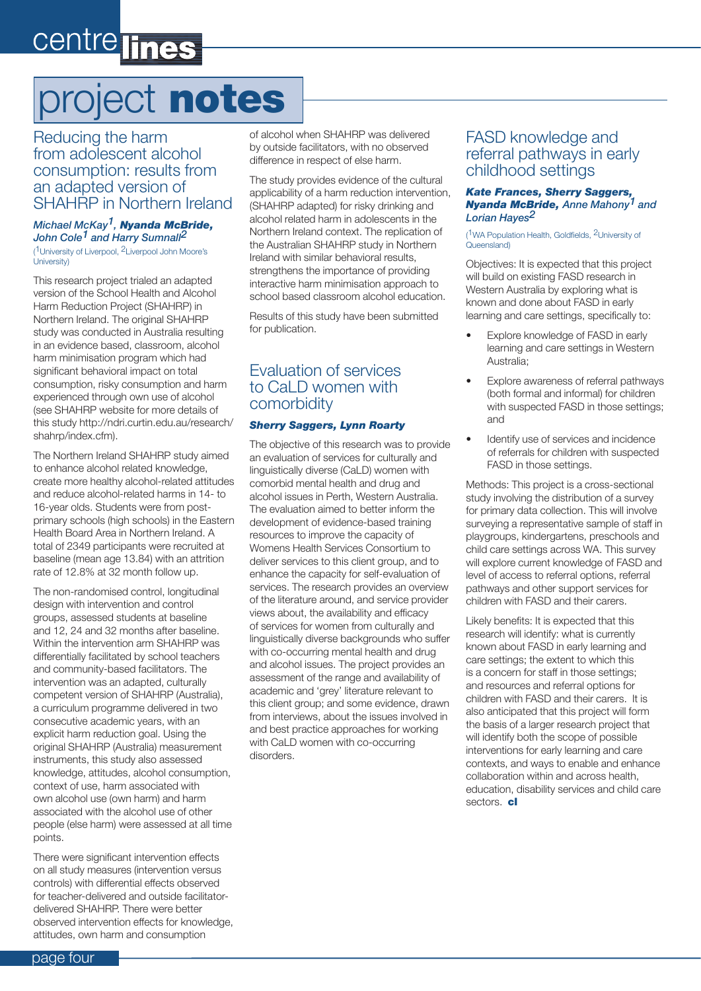# centre lines

# project notes

Reducing the harm from adolescent alcohol consumption: results from an adapted version of SHAHRP in Northern Ireland

#### *Michael McKay1, Nyanda McBride, John Cole1 and Harry Sumnall2* ( 1University of Liverpool, 2Liverpool John Moore's University)

This research project trialed an adapted version of the School Health and Alcohol Harm Reduction Project (SHAHRP) in Northern Ireland. The original SHAHRP study was conducted in Australia resulting in an evidence based, classroom, alcohol harm minimisation program which had significant behavioral impact on total consumption, risky consumption and harm experienced through own use of alcohol (see SHAHRP website for more details of this study http://ndri.curtin.edu.au/research/ shahrp/index.cfm).

The Northern Ireland SHAHRP study aimed to enhance alcohol related knowledge, create more healthy alcohol-related attitudes and reduce alcohol-related harms in 14- to 16-year olds. Students were from postprimary schools (high schools) in the Eastern Health Board Area in Northern Ireland. A total of 2349 participants were recruited at baseline (mean age 13.84) with an attrition rate of 12.8% at 32 month follow up.

The non-randomised control, longitudinal design with intervention and control groups, assessed students at baseline and 12, 24 and 32 months after baseline. Within the intervention arm SHAHRP was differentially facilitated by school teachers and community-based facilitators. The intervention was an adapted, culturally competent version of SHAHRP (Australia), a curriculum programme delivered in two consecutive academic years, with an explicit harm reduction goal. Using the original SHAHRP (Australia) measurement instruments, this study also assessed knowledge, attitudes, alcohol consumption, context of use, harm associated with own alcohol use (own harm) and harm associated with the alcohol use of other people (else harm) were assessed at all time points.

There were significant intervention effects on all study measures (intervention versus controls) with differential effects observed for teacher-delivered and outside facilitatordelivered SHAHRP. There were better observed intervention effects for knowledge, attitudes, own harm and consumption

of alcohol when SHAHRP was delivered by outside facilitators, with no observed difference in respect of else harm.

The study provides evidence of the cultural applicability of a harm reduction intervention, (SHAHRP adapted) for risky drinking and alcohol related harm in adolescents in the Northern Ireland context. The replication of the Australian SHAHRP study in Northern Ireland with similar behavioral results, strengthens the importance of providing interactive harm minimisation approach to school based classroom alcohol education.

Results of this study have been submitted for publication.

### Evaluation of services to CaLD women with comorbidity

#### *Sherry Saggers, Lynn Roarty*

The objective of this research was to provide an evaluation of services for culturally and linguistically diverse (CaLD) women with comorbid mental health and drug and alcohol issues in Perth, Western Australia. The evaluation aimed to better inform the development of evidence-based training resources to improve the capacity of Womens Health Services Consortium to deliver services to this client group, and to enhance the capacity for self-evaluation of services. The research provides an overview of the literature around, and service provider views about, the availability and efficacy of services for women from culturally and linguistically diverse backgrounds who suffer with co-occurring mental health and drug and alcohol issues. The project provides an assessment of the range and availability of academic and 'grey' literature relevant to this client group; and some evidence, drawn from interviews, about the issues involved in and best practice approaches for working with CaLD women with co-occurring disorders.

#### FASD knowledge and referral pathways in early childhood settings

#### *Kate Frances, Sherry Saggers, Nyanda McBride, Anne Mahony1 and Lorian Hayes2*

( 1WA Population Health, Goldfields, 2University of Queensland)

Objectives: It is expected that this project will build on existing FASD research in Western Australia by exploring what is known and done about FASD in early learning and care settings, specifically to:

- Explore knowledge of FASD in early learning and care settings in Western Australia;
- Explore awareness of referral pathways (both formal and informal) for children with suspected FASD in those settings; and
- Identify use of services and incidence of referrals for children with suspected FASD in those settings.

Methods: This project is a cross-sectional study involving the distribution of a survey for primary data collection. This will involve surveying a representative sample of staff in playgroups, kindergartens, preschools and child care settings across WA. This survey will explore current knowledge of FASD and level of access to referral options, referral pathways and other support services for children with FASD and their carers.

Likely benefits: It is expected that this research will identify: what is currently known about FASD in early learning and care settings; the extent to which this is a concern for staff in those settings; and resources and referral options for children with FASD and their carers. It is also anticipated that this project will form the basis of a larger research project that will identify both the scope of possible interventions for early learning and care contexts, and ways to enable and enhance collaboration within and across health, education, disability services and child care sectors. cl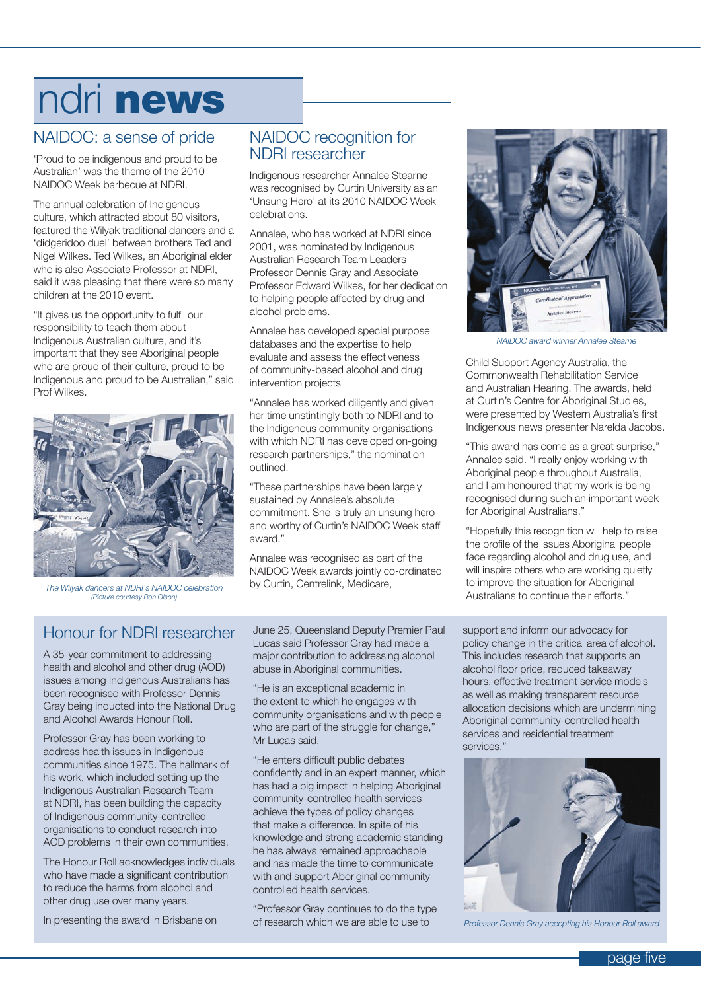# ndri news

### NAIDOC: a sense of pride

'Proud to be indigenous and proud to be Australian' was the theme of the 2010 NAIDOC Week barbecue at NDRI.

The annual celebration of Indigenous culture, which attracted about 80 visitors, featured the Wilyak traditional dancers and a 'didgeridoo duel' between brothers Ted and Nigel Wilkes. Ted Wilkes, an Aboriginal elder who is also Associate Professor at NDRI, said it was pleasing that there were so many children at the 2010 event.

"It gives us the opportunity to fulfil our responsibility to teach them about Indigenous Australian culture, and it's important that they see Aboriginal people who are proud of their culture, proud to be Indigenous and proud to be Australian," said Prof Wilkes.



*The Wilyak dancers at NDRI's NAIDOC celebration (Picture courtesy Ron Olson)*

### NAIDOC recognition for NDRI researcher

Indigenous researcher Annalee Stearne was recognised by Curtin University as an 'Unsung Hero' at its 2010 NAIDOC Week celebrations.

Annalee, who has worked at NDRI since 2001, was nominated by Indigenous Australian Research Team Leaders Professor Dennis Gray and Associate Professor Edward Wilkes, for her dedication to helping people affected by drug and alcohol problems.

Annalee has developed special purpose databases and the expertise to help evaluate and assess the effectiveness of community-based alcohol and drug intervention projects

"Annalee has worked diligently and given her time unstintingly both to NDRI and to the Indigenous community organisations with which NDRI has developed on-going research partnerships," the nomination outlined.

"These partnerships have been largely sustained by Annalee's absolute commitment. She is truly an unsung hero and worthy of Curtin's NAIDOC Week staff award."

Annalee was recognised as part of the NAIDOC Week awards jointly co-ordinated by Curtin, Centrelink, Medicare,



*NAIDOC award winner Annalee Stearne*

Child Support Agency Australia, the Commonwealth Rehabilitation Service and Australian Hearing. The awards, held at Curtin's Centre for Aboriginal Studies, were presented by Western Australia's first Indigenous news presenter Narelda Jacobs.

"This award has come as a great surprise," Annalee said. "I really enjoy working with Aboriginal people throughout Australia, and I am honoured that my work is being recognised during such an important week for Aboriginal Australians."

"Hopefully this recognition will help to raise the profile of the issues Aboriginal people face regarding alcohol and drug use, and will inspire others who are working quietly to improve the situation for Aboriginal Australians to continue their efforts."

### Honour for NDRI researcher

A 35-year commitment to addressing health and alcohol and other drug (AOD) issues among Indigenous Australians has been recognised with Professor Dennis Gray being inducted into the National Drug and Alcohol Awards Honour Roll.

Professor Gray has been working to address health issues in Indigenous communities since 1975. The hallmark of his work, which included setting up the Indigenous Australian Research Team at NDRI, has been building the capacity of Indigenous community-controlled organisations to conduct research into AOD problems in their own communities.

The Honour Roll acknowledges individuals who have made a significant contribution to reduce the harms from alcohol and other drug use over many years.

In presenting the award in Brisbane on

June 25, Queensland Deputy Premier Paul Lucas said Professor Gray had made a major contribution to addressing alcohol abuse in Aboriginal communities.

"He is an exceptional academic in the extent to which he engages with community organisations and with people who are part of the struggle for change," Mr Lucas said.

"He enters difficult public debates confidently and in an expert manner, which has had a big impact in helping Aboriginal community-controlled health services achieve the types of policy changes that make a difference. In spite of his knowledge and strong academic standing he has always remained approachable and has made the time to communicate with and support Aboriginal communitycontrolled health services.

"Professor Gray continues to do the type of research which we are able to use to

support and inform our advocacy for policy change in the critical area of alcohol. This includes research that supports an alcohol floor price, reduced takeaway hours, effective treatment service models as well as making transparent resource allocation decisions which are undermining Aboriginal community-controlled health services and residential treatment services."



*Professor Dennis Gray accepting his Honour Roll award*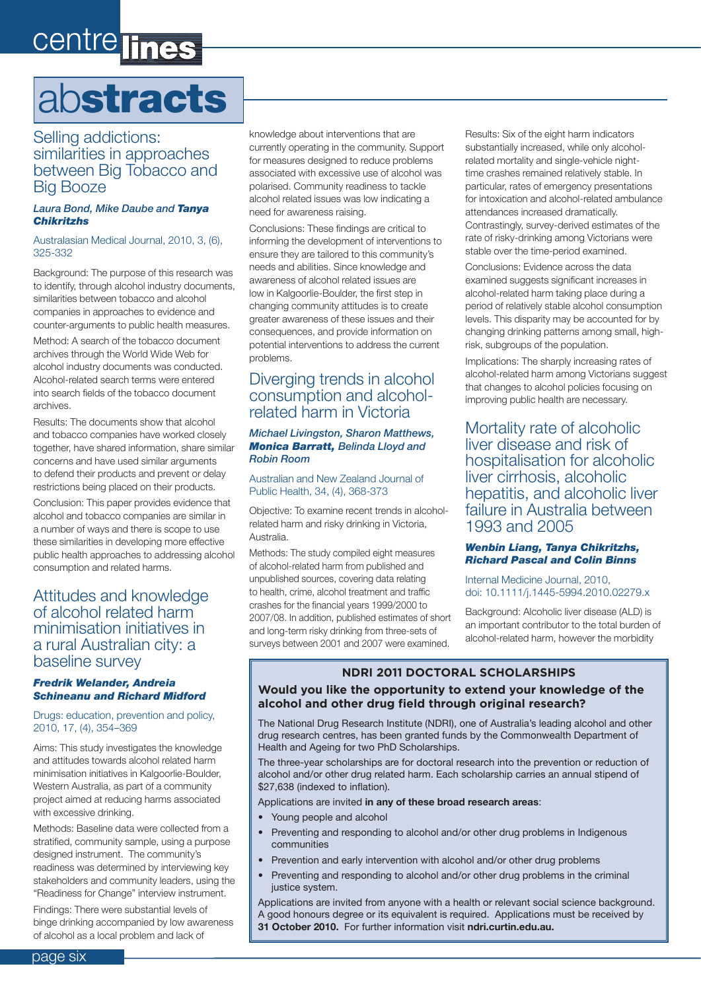# centre lines

# abstracts

#### Selling addictions: similarities in approaches between Big Tobacco and Big Booze

#### *Laura Bond, Mike Daube and Tanya Chikritzhs*

#### Australasian Medical Journal, 2010, 3, (6), 325-332

Background: The purpose of this research was to identify, through alcohol industry documents, similarities between tobacco and alcohol companies in approaches to evidence and counter-arguments to public health measures.

Method: A search of the tobacco document archives through the World Wide Web for alcohol industry documents was conducted. Alcohol-related search terms were entered into search fields of the tobacco document archives.

Results: The documents show that alcohol and tobacco companies have worked closely together, have shared information, share similar concerns and have used similar arguments to defend their products and prevent or delay restrictions being placed on their products.

Conclusion: This paper provides evidence that alcohol and tobacco companies are similar in a number of ways and there is scope to use these similarities in developing more effective public health approaches to addressing alcohol consumption and related harms.

#### Attitudes and knowledge of alcohol related harm minimisation initiatives in a rural Australian city: a baseline survey

#### *Fredrik Welander, Andreia Schineanu and Richard Midford*

Drugs: education, prevention and policy, 2010, 17, (4), 354–369

Aims: This study investigates the knowledge and attitudes towards alcohol related harm minimisation initiatives in Kalgoorlie-Boulder, Western Australia, as part of a community project aimed at reducing harms associated with excessive drinking.

Methods: Baseline data were collected from a stratified, community sample, using a purpose designed instrument. The community's readiness was determined by interviewing key stakeholders and community leaders, using the "Readiness for Change" interview instrument.

Findings: There were substantial levels of binge drinking accompanied by low awareness of alcohol as a local problem and lack of

knowledge about interventions that are currently operating in the community. Support for measures designed to reduce problems associated with excessive use of alcohol was polarised. Community readiness to tackle alcohol related issues was low indicating a need for awareness raising.

Conclusions: These findings are critical to informing the development of interventions to ensure they are tailored to this community's needs and abilities. Since knowledge and awareness of alcohol related issues are low in Kalgoorlie-Boulder, the first step in changing community attitudes is to create greater awareness of these issues and their consequences, and provide information on potential interventions to address the current problems.

#### Diverging trends in alcohol consumption and alcoholrelated harm in Victoria

#### *Michael Livingston, Sharon Matthews, Monica Barratt, Belinda Lloyd and Robin Room*

#### Australian and New Zealand Journal of Public Health, 34, (4), 368-373

Objective: To examine recent trends in alcoholrelated harm and risky drinking in Victoria, Australia.

Methods: The study compiled eight measures of alcohol-related harm from published and unpublished sources, covering data relating to health, crime, alcohol treatment and traffic crashes for the financial years 1999/2000 to 2007/08. In addition, published estimates of short and long-term risky drinking from three-sets of surveys between 2001 and 2007 were examined.

Results: Six of the eight harm indicators substantially increased, while only alcoholrelated mortality and single-vehicle nighttime crashes remained relatively stable. In particular, rates of emergency presentations for intoxication and alcohol-related ambulance attendances increased dramatically. Contrastingly, survey-derived estimates of the rate of risky-drinking among Victorians were stable over the time-period examined.

Conclusions: Evidence across the data examined suggests significant increases in alcohol-related harm taking place during a period of relatively stable alcohol consumption levels. This disparity may be accounted for by changing drinking patterns among small, highrisk, subgroups of the population.

Implications: The sharply increasing rates of alcohol-related harm among Victorians suggest that changes to alcohol policies focusing on improving public health are necessary.

Mortality rate of alcoholic liver disease and risk of hospitalisation for alcoholic liver cirrhosis, alcoholic hepatitis, and alcoholic liver failure in Australia between 1993 and 2005

#### *Wenbin Liang, Tanya Chikritzhs, Richard Pascal and Colin Binns*

Internal Medicine Journal, 2010, doi: 10.1111/j.1445-5994.2010.02279.x

Background: Alcoholic liver disease (ALD) is an important contributor to the total burden of alcohol-related harm, however the morbidity

#### **NDRI 2011 DOCTORAL SCHOLARSHIPS**

#### **Would you like the opportunity to extend your knowledge of the alcohol and other drug field through original research?**

The National Drug Research Institute (NDRI), one of Australia's leading alcohol and other drug research centres, has been granted funds by the Commonwealth Department of Health and Ageing for two PhD Scholarships.

The three-year scholarships are for doctoral research into the prevention or reduction of alcohol and/or other drug related harm. Each scholarship carries an annual stipend of \$27,638 (indexed to inflation).

#### Applications are invited **in any of these broad research areas**:

- Young people and alcohol
- Preventing and responding to alcohol and/or other drug problems in Indigenous communities
- Prevention and early intervention with alcohol and/or other drug problems
- Preventing and responding to alcohol and/or other drug problems in the criminal justice system.

Applications are invited from anyone with a health or relevant social science background. A good honours degree or its equivalent is required. Applications must be received by **31 October 2010.** For further information visit **ndri.curtin.edu.au.**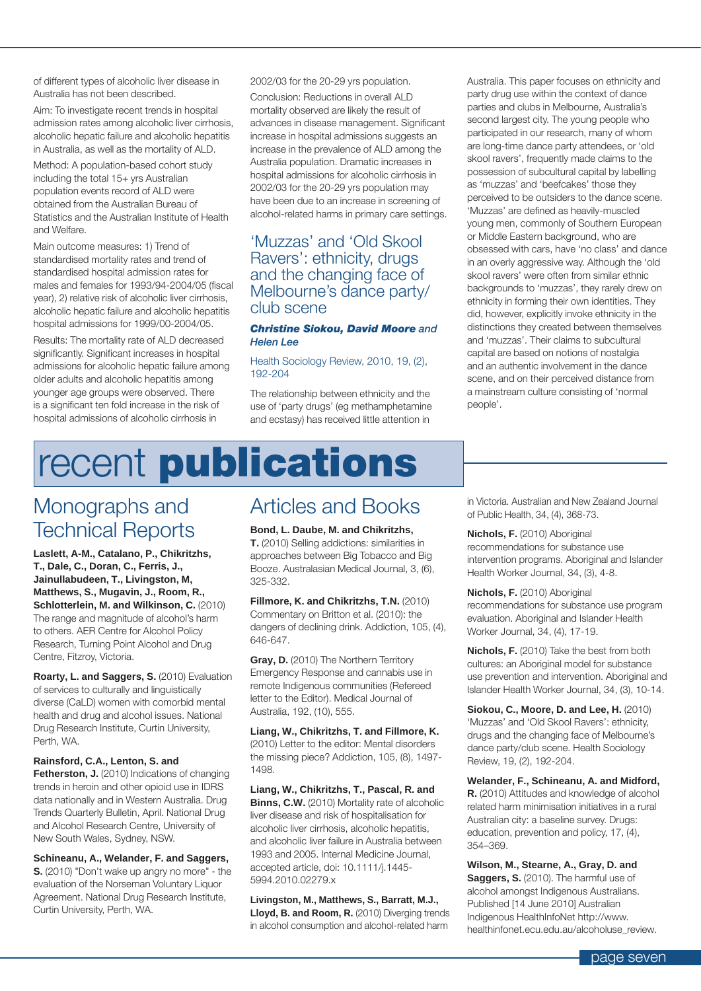of different types of alcoholic liver disease in Australia has not been described.

Aim: To investigate recent trends in hospital admission rates among alcoholic liver cirrhosis, alcoholic hepatic failure and alcoholic hepatitis in Australia, as well as the mortality of ALD.

Method: A population-based cohort study including the total 15+ yrs Australian population events record of ALD were obtained from the Australian Bureau of Statistics and the Australian Institute of Health and Welfare.

Main outcome measures: 1) Trend of standardised mortality rates and trend of standardised hospital admission rates for males and females for 1993/94-2004/05 (fiscal year), 2) relative risk of alcoholic liver cirrhosis, alcoholic hepatic failure and alcoholic hepatitis hospital admissions for 1999/00-2004/05.

Results: The mortality rate of ALD decreased significantly. Significant increases in hospital admissions for alcoholic hepatic failure among older adults and alcoholic hepatitis among younger age groups were observed. There is a significant ten fold increase in the risk of hospital admissions of alcoholic cirrhosis in

2002/03 for the 20-29 yrs population.

Conclusion: Reductions in overall ALD mortality observed are likely the result of advances in disease management. Significant increase in hospital admissions suggests an increase in the prevalence of ALD among the Australia population. Dramatic increases in hospital admissions for alcoholic cirrhosis in 2002/03 for the 20-29 yrs population may have been due to an increase in screening of alcohol-related harms in primary care settings.

#### 'Muzzas' and 'Old Skool Ravers': ethnicity, drugs and the changing face of Melbourne's dance party/ club scene

#### *Christine Siokou, David Moore and Helen Lee*

#### Health Sociology Review, 2010, 19, (2), 192-204

The relationship between ethnicity and the use of 'party drugs' (eg methamphetamine and ecstasy) has received little attention in

Australia. This paper focuses on ethnicity and party drug use within the context of dance parties and clubs in Melbourne, Australia's second largest city. The young people who participated in our research, many of whom are long-time dance party attendees, or 'old skool ravers', frequently made claims to the possession of subcultural capital by labelling as 'muzzas' and 'beefcakes' those they perceived to be outsiders to the dance scene. 'Muzzas' are defined as heavily-muscled young men, commonly of Southern European or Middle Eastern background, who are obsessed with cars, have 'no class' and dance in an overly aggressive way. Although the 'old skool ravers' were often from similar ethnic backgrounds to 'muzzas', they rarely drew on ethnicity in forming their own identities. They did, however, explicitly invoke ethnicity in the distinctions they created between themselves and 'muzzas'. Their claims to subcultural capital are based on notions of nostalgia and an authentic involvement in the dance scene, and on their perceived distance from a mainstream culture consisting of 'normal people'.

# recent publications

### Monographs and Technical Reports

**Laslett, A-M., Catalano, P., Chikritzhs, T., Dale, C., Doran, C., Ferris, J., Jainullabudeen, T., Livingston, M, Matthews, S., Mugavin, J., Room, R., Schlotterlein, M. and Wilkinson, C.** (2010) The range and magnitude of alcohol's harm to others. AER Centre for Alcohol Policy Research, Turning Point Alcohol and Drug Centre, Fitzroy, Victoria.

**Roarty, L. and Saggers, S.** (2010) Evaluation of services to culturally and linguistically diverse (CaLD) women with comorbid mental health and drug and alcohol issues. National Drug Research Institute, Curtin University, Perth, WA.

#### **Rainsford, C.A., Lenton, S. and**

**Fetherston, J.** (2010) Indications of changing trends in heroin and other opioid use in IDRS data nationally and in Western Australia. Drug Trends Quarterly Bulletin, April. National Drug and Alcohol Research Centre, University of New South Wales, Sydney, NSW.

**Schineanu, A., Welander, F. and Saggers, S.** (2010) "Don't wake up angry no more" - the evaluation of the Norseman Voluntary Liquor Agreement. National Drug Research Institute, Curtin University, Perth, WA.

### Articles and Books

**Bond, L. Daube, M. and Chikritzhs, T.** (2010) Selling addictions: similarities in approaches between Big Tobacco and Big Booze. Australasian Medical Journal, 3, (6), 325-332.

**Fillmore, K. and Chikritzhs, T.N.** (2010) Commentary on Britton et al. (2010): the dangers of declining drink. Addiction, 105, (4), 646-647.

**Gray, D.** (2010) The Northern Territory Emergency Response and cannabis use in remote Indigenous communities (Refereed letter to the Editor). Medical Journal of Australia, 192, (10), 555.

**Liang, W., Chikritzhs, T. and Fillmore, K.**  (2010) Letter to the editor: Mental disorders the missing piece? Addiction, 105, (8), 1497- 1498.

**Liang, W., Chikritzhs, T., Pascal, R. and Binns, C.W.** (2010) Mortality rate of alcoholic liver disease and risk of hospitalisation for alcoholic liver cirrhosis, alcoholic hepatitis, and alcoholic liver failure in Australia between 1993 and 2005. Internal Medicine Journal, accepted article, doi: 10.1111/j.1445- 5994.2010.02279.x

**Livingston, M., Matthews, S., Barratt, M.J., Lloyd, B. and Room, R.** (2010) Diverging trends in alcohol consumption and alcohol-related harm

in Victoria. Australian and New Zealand Journal of Public Health, 34, (4), 368-73.

**Nichols, F.** (2010) Aboriginal recommendations for substance use intervention programs. Aboriginal and Islander Health Worker Journal, 34, (3), 4-8.

**Nichols, F.** (2010) Aboriginal recommendations for substance use program evaluation. Aboriginal and Islander Health Worker Journal, 34, (4), 17-19.

**Nichols, F.** (2010) Take the best from both cultures: an Aboriginal model for substance use prevention and intervention. Aboriginal and Islander Health Worker Journal, 34, (3), 10-14.

**Siokou, C., Moore, D. and Lee, H.** (2010) 'Muzzas' and 'Old Skool Ravers': ethnicity, drugs and the changing face of Melbourne's dance party/club scene. Health Sociology Review, 19, (2), 192-204.

**Welander, F., Schineanu, A. and Midford, R.** (2010) Attitudes and knowledge of alcohol related harm minimisation initiatives in a rural Australian city: a baseline survey. Drugs: education, prevention and policy, 17, (4), 354–369.

**Wilson, M., Stearne, A., Gray, D. and Saggers, S.** (2010). The harmful use of alcohol amongst Indigenous Australians. Published [14 June 2010] Australian Indigenous HealthInfoNet http://www. healthinfonet.ecu.edu.au/alcoholuse\_review.